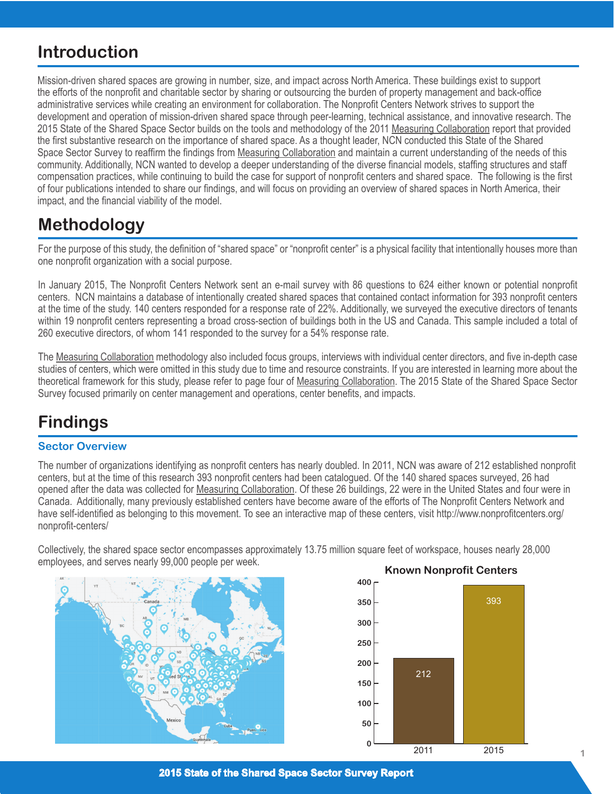# **Introduction**

Mission-driven shared spaces are growing in number, size, and impact across North America. These buildings exist to support the efforts of the nonprofit and charitable sector by sharing or outsourcing the burden of property management and back-office administrative services while creating an environment for collaboration. The Nonprofit Centers Network strives to support the development and operation of mission-driven shared space through peer-learning, technical assistance, and innovative research. The 2015 State of the Shared Space Sector builds on the tools and methodology of the 2011 Measuring Collaboration report that provided the first substantive research on the importance of shared space. As a thought leader, NCN conducted this State of the Shared Space Sector Survey to reaffirm the findings from Measuring Collaboration and maintain a current understanding of the needs of this community. Additionally, NCN wanted to develop a deeper understanding of the diverse financial models, staffing structures and staff compensation practices, while continuing to build the case for support of nonprofit centers and shared space. The following is the first of four publications intended to share our findings, and will focus on providing an overview of shared spaces in North America, their impact, and the financial viability of the model.

## **Methodology**

For the purpose of this study, the definition of "shared space" or "nonprofit center" is a physical facility that intentionally houses more than one nonprofit organization with a social purpose.

In January 2015, The Nonprofit Centers Network sent an e-mail survey with 86 questions to 624 either known or potential nonprofit centers. NCN maintains a database of intentionally created shared spaces that contained contact information for 393 nonprofit centers at the time of the study. 140 centers responded for a response rate of 22%. Additionally, we surveyed the executive directors of tenants within 19 nonprofit centers representing a broad cross-section of buildings both in the US and Canada. This sample included a total of 260 executive directors, of whom 141 responded to the survey for a 54% response rate.

The Measuring Collaboration methodology also included focus groups, interviews with individual center directors, and five in-depth case studies of centers, which were omitted in this study due to time and resource constraints. If you are interested in learning more about the theoretical framework for this study, please refer to page four of Measuring Collaboration. The 2015 State of the Shared Space Sector Survey focused primarily on center management and operations, center benefits, and impacts.

# **Findings**

## **Sector Overview**

The number of organizations identifying as nonprofit centers has nearly doubled. In 2011, NCN was aware of 212 established nonprofit centers, but at the time of this research 393 nonprofit centers had been catalogued. Of the 140 shared spaces surveyed, 26 had opened after the data was collected for Measuring Collaboration. Of these 26 buildings, 22 were in the United States and four were in Canada. Additionally, many previously established centers have become aware of the efforts of The Nonprofit Centers Network and have self-identified as belonging to this movement. To see an interactive map of these centers, visit http://www.nonprofitcenters.org/ nonprofit-centers/

Collectively, the shared space sector encompasses approximately 13.75 million square feet of workspace, houses nearly 28,000 employees, and serves nearly 99,000 people per week.



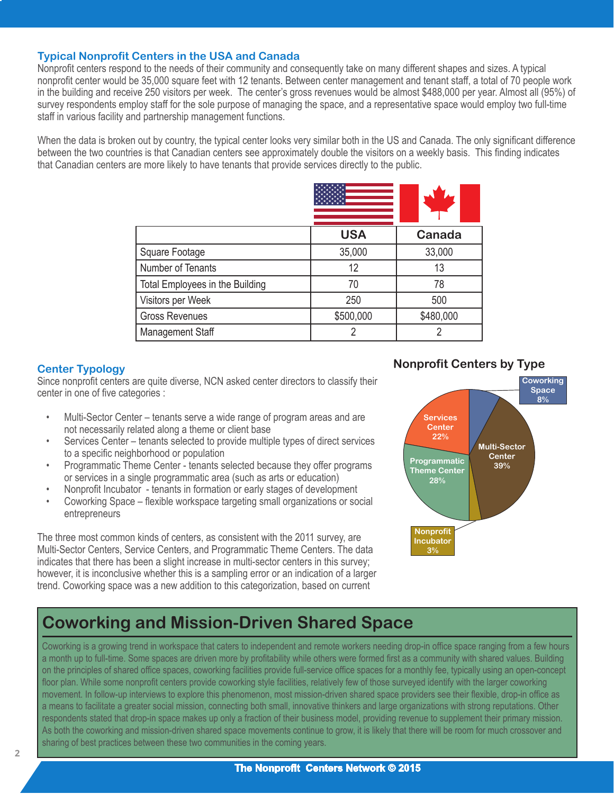#### **Typical Nonprofit Centers in the USA and Canada**

Nonprofit centers respond to the needs of their community and consequently take on many different shapes and sizes. A typical nonprofit center would be 35,000 square feet with 12 tenants. Between center management and tenant staff, a total of 70 people work in the building and receive 250 visitors per week. The center's gross revenues would be almost \$488,000 per year. Almost all (95%) of survey respondents employ staff for the sole purpose of managing the space, and a representative space would employ two full-time staff in various facility and partnership management functions.

When the data is broken out by country, the typical center looks very similar both in the US and Canada. The only significant difference between the two countries is that Canadian centers see approximately double the visitors on a weekly basis. This finding indicates that Canadian centers are more likely to have tenants that provide services directly to the public.

|                                 | <b>USA</b> | Canada    |
|---------------------------------|------------|-----------|
| Square Footage                  | 35,000     | 33,000    |
| Number of Tenants               | 12         | 13        |
| Total Employees in the Building | 70         | 78        |
| Visitors per Week               | 250        | 500       |
| <b>Gross Revenues</b>           | \$500,000  | \$480,000 |
| <b>Management Staff</b>         |            |           |

#### **Center Typology**

Since nonprofit centers are quite diverse, NCN asked center directors to classify their center in one of five categories :

- Multi-Sector Center tenants serve a wide range of program areas and are not necessarily related along a theme or client base
- Services Center tenants selected to provide multiple types of direct services to a specific neighborhood or population
- Programmatic Theme Center tenants selected because they offer programs or services in a single programmatic area (such as arts or education)
- Nonprofit Incubator tenants in formation or early stages of development
- Coworking Space flexible workspace targeting small organizations or social entrepreneurs

The three most common kinds of centers, as consistent with the 2011 survey, are Multi-Sector Centers, Service Centers, and Programmatic Theme Centers. The data indicates that there has been a slight increase in multi-sector centers in this survey; however, it is inconclusive whether this is a sampling error or an indication of a larger trend. Coworking space was a new addition to this categorization, based on current

#### **Nonprofit Centers by Type**



## **Coworking and Mission-Driven Shared Space**

Coworking is a growing trend in workspace that caters to independent and remote workers needing drop-in office space ranging from a few hours a month up to full-time. Some spaces are driven more by profitability while others were formed first as a community with shared values. Building on the principles of shared office spaces, coworking facilities provide full-service office spaces for a monthly fee, typically using an open-concept floor plan. While some nonprofit centers provide coworking style facilities, relatively few of those surveyed identify with the larger coworking movement. In follow-up interviews to explore this phenomenon, most mission-driven shared space providers see their flexible, drop-in office as a means to facilitate a greater social mission, connecting both small, innovative thinkers and large organizations with strong reputations. Other respondents stated that drop-in space makes up only a fraction of their business model, providing revenue to supplement their primary mission. As both the coworking and mission-driven shared space movements continue to grow, it is likely that there will be room for much crossover and sharing of best practices between these two communities in the coming years.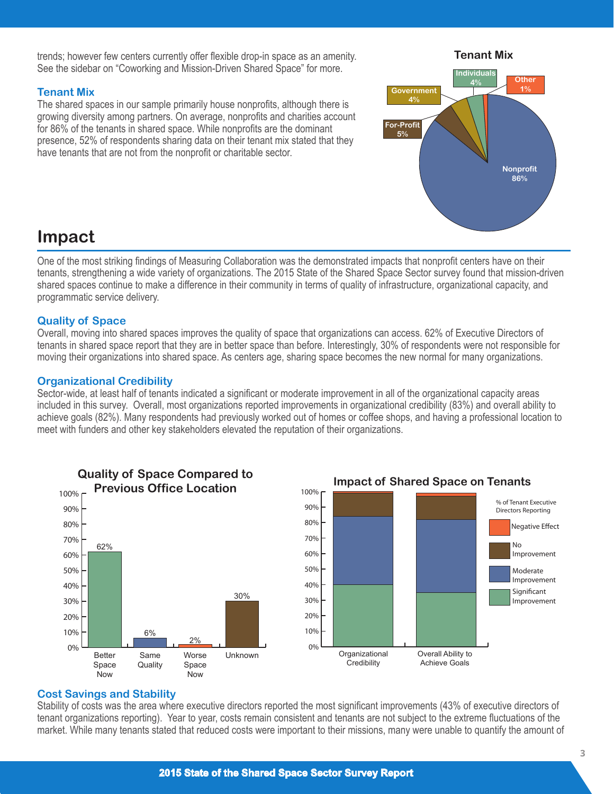trends; however few centers currently offer flexible drop-in space as an amenity. See the sidebar on "Coworking and Mission-Driven Shared Space" for more.

#### **Tenant Mix**

The shared spaces in our sample primarily house nonprofits, although there is growing diversity among partners. On average, nonprofits and charities account for 86% of the tenants in shared space. While nonprofits are the dominant presence, 52% of respondents sharing data on their tenant mix stated that they have tenants that are not from the nonprofit or charitable sector.

## **Nonprofit 86% Other 1% Individual 4% Government 4% For-Profit 5%**

**Tenant Mix**

## **Impact**

One of the most striking findings of Measuring Collaboration was the demonstrated impacts that nonprofit centers have on their tenants, strengthening a wide variety of organizations. The 2015 State of the Shared Space Sector survey found that mission-driven shared spaces continue to make a difference in their community in terms of quality of infrastructure, organizational capacity, and programmatic service delivery.

#### **Quality of Space**

Overall, moving into shared spaces improves the quality of space that organizations can access. 62% of Executive Directors of tenants in shared space report that they are in better space than before. Interestingly, 30% of respondents were not responsible for moving their organizations into shared space. As centers age, sharing space becomes the new normal for many organizations.

#### **Organizational Credibility**

Sector-wide, at least half of tenants indicated a significant or moderate improvement in all of the organizational capacity areas included in this survey. Overall, most organizations reported improvements in organizational credibility (83%) and overall ability to achieve goals (82%). Many respondents had previously worked out of homes or coffee shops, and having a professional location to meet with funders and other key stakeholders elevated the reputation of their organizations.





#### **Cost Savings and Stability**

Stability of costs was the area where executive directors reported the most significant improvements (43% of executive directors of tenant organizations reporting). Year to year, costs remain consistent and tenants are not subject to the extreme fluctuations of the market. While many tenants stated that reduced costs were important to their missions, many were unable to quantify the amount of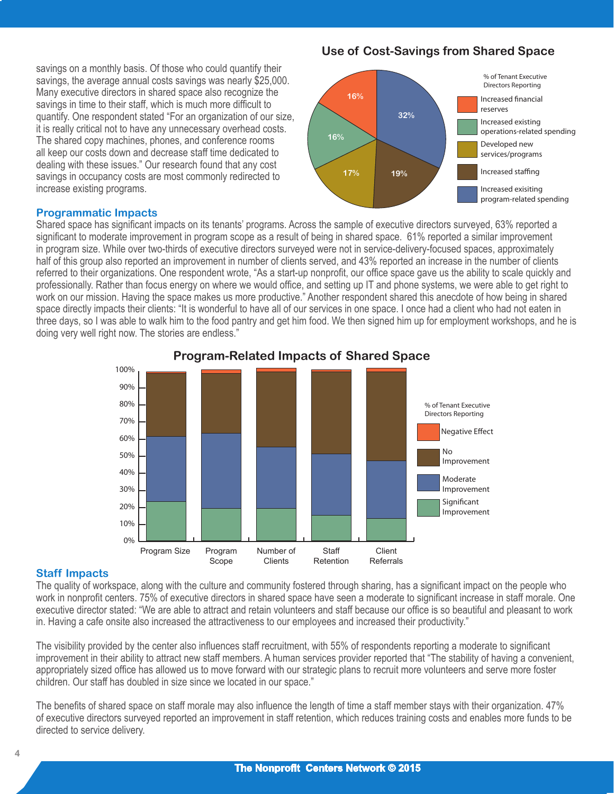savings on a monthly basis. Of those who could quantify their savings, the average annual costs savings was nearly \$25,000. Many executive directors in shared space also recognize the savings in time to their staff, which is much more difficult to quantify. One respondent stated "For an organization of our size, it is really critical not to have any unnecessary overhead costs. The shared copy machines, phones, and conference rooms all keep our costs down and decrease staff time dedicated to dealing with these issues." Our research found that any cost savings in occupancy costs are most commonly redirected to increase existing programs.

#### **Programmatic Impacts**

Shared space has significant impacts on its tenants' programs. Across the sample of executive directors surveyed, 63% reported a significant to moderate improvement in program scope as a result of being in shared space. 61% reported a similar improvement in program size. While over two-thirds of executive directors surveyed were not in service-delivery-focused spaces, approximately half of this group also reported an improvement in number of clients served, and 43% reported an increase in the number of clients referred to their organizations. One respondent wrote, "As a start-up nonprofit, our office space gave us the ability to scale quickly and professionally. Rather than focus energy on where we would office, and setting up IT and phone systems, we were able to get right to work on our mission. Having the space makes us more productive." Another respondent shared this anecdote of how being in shared space directly impacts their clients: "It is wonderful to have all of our services in one space. I once had a client who had not eaten in three days, so I was able to walk him to the food pantry and get him food. We then signed him up for employment workshops, and he is doing very well right now. The stories are endless."



### **Program-Related Impacts of Shared Space**

#### **Staff Impacts**

The quality of workspace, along with the culture and community fostered through sharing, has a significant impact on the people who work in nonprofit centers. 75% of executive directors in shared space have seen a moderate to significant increase in staff morale. One executive director stated: "We are able to attract and retain volunteers and staff because our office is so beautiful and pleasant to work in. Having a cafe onsite also increased the attractiveness to our employees and increased their productivity."

The visibility provided by the center also influences staff recruitment, with 55% of respondents reporting a moderate to significant improvement in their ability to attract new staff members. A human services provider reported that "The stability of having a convenient, appropriately sized office has allowed us to move forward with our strategic plans to recruit more volunteers and serve more foster children. Our staff has doubled in size since we located in our space."

The benefits of shared space on staff morale may also influence the length of time a staff member stays with their organization. 47% of executive directors surveyed reported an improvement in staff retention, which reduces training costs and enables more funds to be directed to service delivery.

## **Use of Cost-Savings from Shared Space**